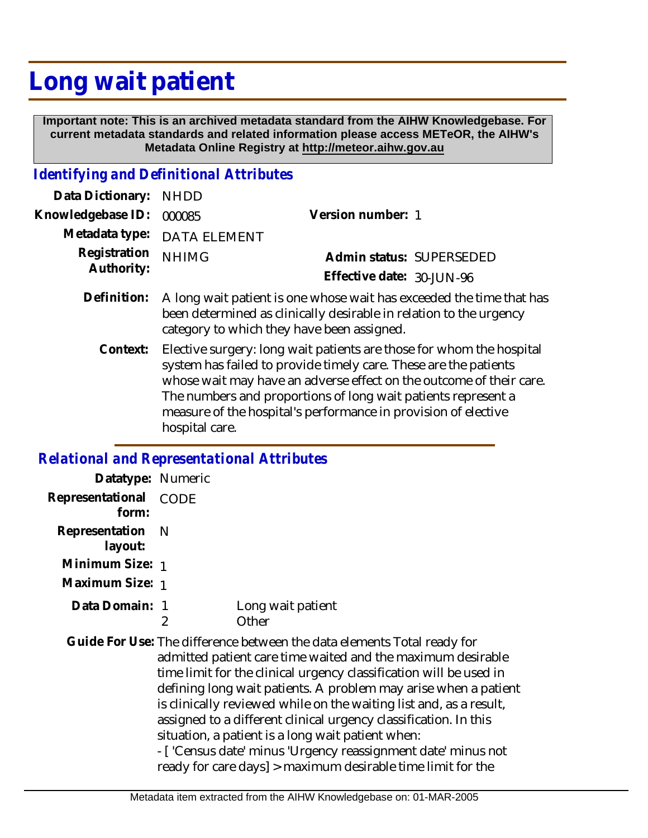## **Long wait patient**

 **Important note: This is an archived metadata standard from the AIHW Knowledgebase. For current metadata standards and related information please access METeOR, the AIHW's Metadata Online Registry at http://meteor.aihw.gov.au**

## *Identifying and Definitional Attributes*

| Data Dictionary: NHDD      |                                                                                                                                            |                           |                          |
|----------------------------|--------------------------------------------------------------------------------------------------------------------------------------------|---------------------------|--------------------------|
| Knowledgebase ID: 000085   |                                                                                                                                            | Version number: 1         |                          |
|                            | Metadata type: DATA ELEMENT                                                                                                                |                           |                          |
| Registration<br>Authority: | <b>NHIMG</b>                                                                                                                               |                           | Admin status: SUPERSEDED |
|                            |                                                                                                                                            | Effective date: 30-JUN-96 |                          |
| Definition:                | A long wait patient is one whose wait has exceeded the time that has<br>been determined as clinically desirable in relation to the urgency |                           |                          |

category to which they have been assigned.

Elective surgery: long wait patients are those for whom the hospital system has failed to provide timely care. These are the patients whose wait may have an adverse effect on the outcome of their care. The numbers and proportions of long wait patients represent a measure of the hospital's performance in provision of elective hospital care. **Context:**

## *Relational and Representational Attributes*

| Datatype: Numeric         |                                                                                                                                                                                                                                                                                                                                                                                                                                                                                                                                                                                                               |                            |
|---------------------------|---------------------------------------------------------------------------------------------------------------------------------------------------------------------------------------------------------------------------------------------------------------------------------------------------------------------------------------------------------------------------------------------------------------------------------------------------------------------------------------------------------------------------------------------------------------------------------------------------------------|----------------------------|
| Representational<br>form: | CODE                                                                                                                                                                                                                                                                                                                                                                                                                                                                                                                                                                                                          |                            |
| Representation<br>layout: | - N                                                                                                                                                                                                                                                                                                                                                                                                                                                                                                                                                                                                           |                            |
| Minimum Size: 1           |                                                                                                                                                                                                                                                                                                                                                                                                                                                                                                                                                                                                               |                            |
| Maximum Size: 1           |                                                                                                                                                                                                                                                                                                                                                                                                                                                                                                                                                                                                               |                            |
| Data Domain: 1            | 2                                                                                                                                                                                                                                                                                                                                                                                                                                                                                                                                                                                                             | Long wait patient<br>Other |
|                           | Guide For Use: The difference between the data elements Total ready for<br>admitted patient care time waited and the maximum desirable<br>time limit for the clinical urgency classification will be used in<br>defining long wait patients. A problem may arise when a patient<br>is clinically reviewed while on the waiting list and, as a result,<br>assigned to a different clinical urgency classification. In this<br>situation, a patient is a long wait patient when:<br>- ['Census date' minus 'Urgency reassignment date' minus not<br>ready for care days] > maximum desirable time limit for the |                            |